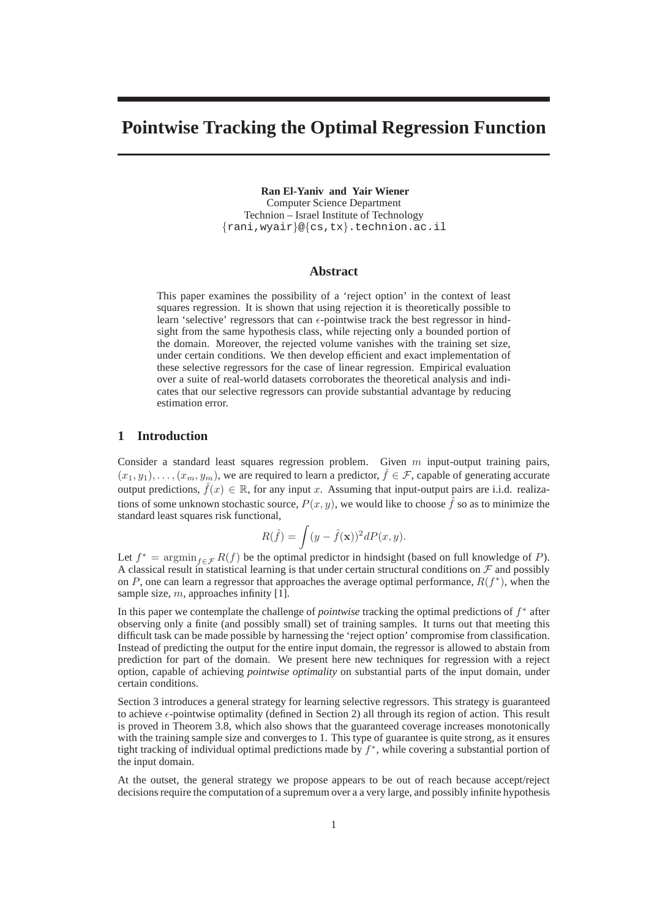# **Pointwise Tracking the Optimal Regression Function**

**Ran El-Yaniv and Yair Wiener** Computer Science Department Technion – Israel Institute of Technology {rani,wyair}@{cs,tx}.technion.ac.il

# **Abstract**

This paper examines the possibility of a 'reject option' in the context of least squares regression. It is shown that using rejection it is theoretically possible to learn 'selective' regressors that can  $\epsilon$ -pointwise track the best regressor in hindsight from the same hypothesis class, while rejecting only a bounded portion of the domain. Moreover, the rejected volume vanishes with the training set size, under certain conditions. We then develop efficient and exact implementation of these selective regressors for the case of linear regression. Empirical evaluation over a suite of real-world datasets corroborates the theoretical analysis and indicates that our selective regressors can provide substantial advantage by reducing estimation error.

# **1 Introduction**

Consider a standard least squares regression problem. Given  $m$  input-output training pairs,  $(x_1, y_1), \ldots, (x_m, y_m)$ , we are required to learn a predictor,  $\hat{f} \in \mathcal{F}$ , capable of generating accurate output predictions,  $\hat{f}(x) \in \mathbb{R}$ , for any input x. Assuming that input-output pairs are i.i.d. realizations of some unknown stochastic source,  $P(x, y)$ , we would like to choose  $\hat{f}$  so as to minimize the standard least squares risk functional,

$$
R(\hat{f}) = \int (y - \hat{f}(\mathbf{x}))^2 dP(x, y).
$$

Let  $f^* = \operatorname{argmin}_{f \in \mathcal{F}} R(f)$  be the optimal predictor in hindsight (based on full knowledge of P). A classical result in statistical learning is that under certain structural conditions on  $\mathcal F$  and possibly on P, one can learn a regressor that approaches the average optimal performance,  $R(f^*)$ , when the sample size,  $m$ , approaches infinity [1].

In this paper we contemplate the challenge of *pointwise* tracking the optimal predictions of f<sup>\*</sup> after observing only a finite (and possibly small) set of training samples. It turns out that meeting this difficult task can be made possible by harnessing the 'reject option' compromise from classification. Instead of predicting the output for the entire input domain, the regressor is allowed to abstain from prediction for part of the domain. We present here new techniques for regression with a reject option, capable of achieving *pointwise optimality* on substantial parts of the input domain, under certain conditions.

Section 3 introduces a general strategy for learning selective regressors. This strategy is guaranteed to achieve  $\epsilon$ -pointwise optimality (defined in Section 2) all through its region of action. This result is proved in Theorem 3.8, which also shows that the guaranteed coverage increases monotonically with the training sample size and converges to 1. This type of guarantee is quite strong, as it ensures tight tracking of individual optimal predictions made by f ∗ , while covering a substantial portion of the input domain.

At the outset, the general strategy we propose appears to be out of reach because accept/reject decisions require the computation of a supremum over a a very large, and possibly infinite hypothesis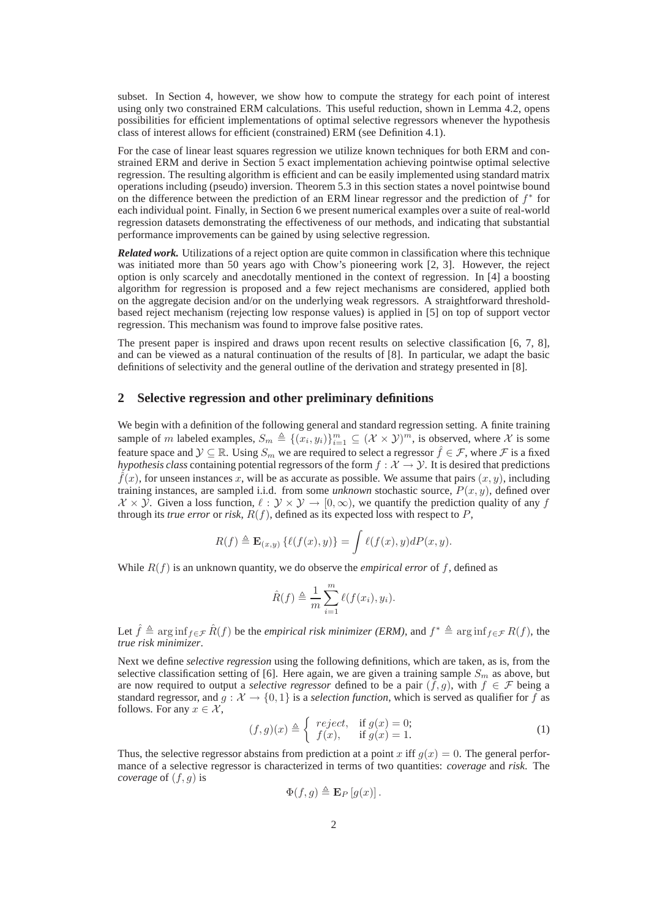subset. In Section 4, however, we show how to compute the strategy for each point of interest using only two constrained ERM calculations. This useful reduction, shown in Lemma 4.2, opens possibilities for efficient implementations of optimal selective regressors whenever the hypothesis class of interest allows for efficient (constrained) ERM (see Definition 4.1).

For the case of linear least squares regression we utilize known techniques for both ERM and constrained ERM and derive in Section 5 exact implementation achieving pointwise optimal selective regression. The resulting algorithm is efficient and can be easily implemented using standard matrix operations including (pseudo) inversion. Theorem 5.3 in this section states a novel pointwise bound on the difference between the prediction of an ERM linear regressor and the prediction of  $f^*$  for each individual point. Finally, in Section 6 we present numerical examples over a suite of real-world regression datasets demonstrating the effectiveness of our methods, and indicating that substantial performance improvements can be gained by using selective regression.

*Related work.* Utilizations of a reject option are quite common in classification where this technique was initiated more than 50 years ago with Chow's pioneering work [2, 3]. However, the reject option is only scarcely and anecdotally mentioned in the context of regression. In [4] a boosting algorithm for regression is proposed and a few reject mechanisms are considered, applied both on the aggregate decision and/or on the underlying weak regressors. A straightforward thresholdbased reject mechanism (rejecting low response values) is applied in [5] on top of support vector regression. This mechanism was found to improve false positive rates.

The present paper is inspired and draws upon recent results on selective classification [6, 7, 8], and can be viewed as a natural continuation of the results of [8]. In particular, we adapt the basic definitions of selectivity and the general outline of the derivation and strategy presented in [8].

# **2 Selective regression and other preliminary definitions**

We begin with a definition of the following general and standard regression setting. A finite training sample of m labeled examples,  $S_m \triangleq \{(x_i, y_i)\}_{i=1}^m \subseteq (\mathcal{X} \times \mathcal{Y})^m$ , is observed, where X is some feature space and  $\mathcal{Y} \subseteq \mathbb{R}$ . Using  $S_m$  we are required to select a regressor  $\hat{f} \in \mathcal{F}$ , where  $\mathcal{F}$  is a fixed *hypothesis class* containing potential regressors of the form  $f : X \to Y$ . It is desired that predictions  $\hat{f}(x)$ , for unseen instances x, will be as accurate as possible. We assume that pairs  $(x, y)$ , including training instances, are sampled i.i.d. from some *unknown* stochastic source,  $P(x, y)$ , defined over  $X \times Y$ . Given a loss function,  $\ell : Y \times Y \to [0, \infty)$ , we quantify the prediction quality of any f through its *true error* or *risk*,  $R(f)$ , defined as its expected loss with respect to  $P$ ,

$$
R(f) \triangleq \mathbf{E}_{(x,y)}\left\{ \ell(f(x),y) \right\} = \int \ell(f(x),y) dP(x,y).
$$

While  $R(f)$  is an unknown quantity, we do observe the *empirical error* of f, defined as

$$
\hat{R}(f) \triangleq \frac{1}{m} \sum_{i=1}^{m} \ell(f(x_i), y_i).
$$

Let  $\hat{f} \triangleq \arg \inf_{f \in \mathcal{F}} \hat{R}(f)$  be the *empirical risk minimizer (ERM)*, and  $f^* \triangleq \arg \inf_{f \in \mathcal{F}} R(f)$ , the *true risk minimizer*.

Next we define *selective regression* using the following definitions, which are taken, as is, from the selective classification setting of [6]. Here again, we are given a training sample  $S_m$  as above, but are now required to output a *selective regressor* defined to be a pair  $(f, g)$ , with  $f \in \mathcal{F}$  being a standard regressor, and  $g : \mathcal{X} \to \{0, 1\}$  is a *selection function*, which is served as qualifier for f as follows. For any  $x \in \mathcal{X}$ ,

$$
(f,g)(x) \triangleq \begin{cases} reject, & \text{if } g(x) = 0; \\ f(x), & \text{if } g(x) = 1. \end{cases}
$$
 (1)

Thus, the selective regressor abstains from prediction at a point x iff  $g(x) = 0$ . The general performance of a selective regressor is characterized in terms of two quantities: *coverage* and *risk*. The *coverage* of  $(f, g)$  is

$$
\Phi(f,g)\triangleq \mathbf{E}_P\left[g(x)\right].
$$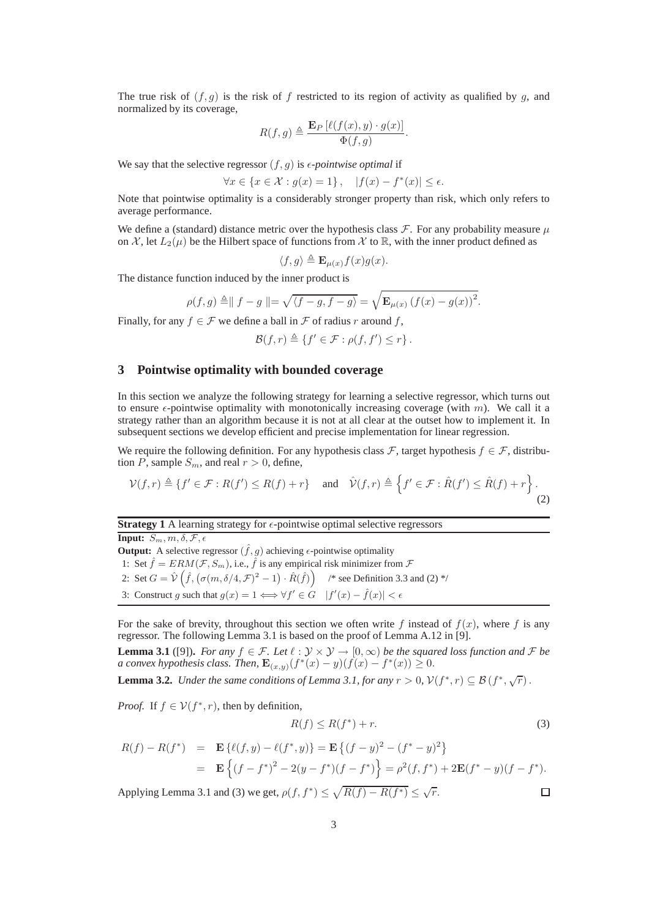The true risk of  $(f, q)$  is the risk of f restricted to its region of activity as qualified by q, and normalized by its coverage,

$$
R(f,g) \triangleq \frac{\mathbf{E}_P \left[ \ell(f(x), y) \cdot g(x) \right]}{\Phi(f,g)}.
$$

We say that the selective regressor  $(f, g)$  is  $\epsilon$ *-pointwise optimal* if

$$
\forall x \in \{x \in \mathcal{X} : g(x) = 1\}\,, \quad |f(x) - f^*(x)| \le \epsilon.
$$

Note that pointwise optimality is a considerably stronger property than risk, which only refers to average performance.

We define a (standard) distance metric over the hypothesis class  $\mathcal F$ . For any probability measure  $\mu$ on X, let  $L_2(\mu)$  be the Hilbert space of functions from X to R, with the inner product defined as

$$
\langle f, g \rangle \triangleq \mathbf{E}_{\mu(x)} f(x) g(x).
$$

The distance function induced by the inner product is

$$
\rho(f, g) \triangleq || f - g || = \sqrt{\langle f - g, f - g \rangle} = \sqrt{\mathbf{E}_{\mu(x)} (f(x) - g(x))^2}.
$$

Finally, for any  $f \in \mathcal{F}$  we define a ball in  $\mathcal F$  of radius r around f,

 $\mathcal{B}(f,r) \triangleq \{f' \in \mathcal{F} : \rho(f,f') \leq r\}.$ 

# **3 Pointwise optimality with bounded coverage**

In this section we analyze the following strategy for learning a selective regressor, which turns out to ensure  $\epsilon$ -pointwise optimality with monotonically increasing coverage (with m). We call it a strategy rather than an algorithm because it is not at all clear at the outset how to implement it. In subsequent sections we develop efficient and precise implementation for linear regression.

We require the following definition. For any hypothesis class  $\mathcal{F}$ , target hypothesis  $f \in \mathcal{F}$ , distribution P, sample  $S_m$ , and real  $r > 0$ , define,

$$
\mathcal{V}(f,r) \triangleq \{f' \in \mathcal{F} : R(f') \le R(f) + r\} \quad \text{and} \quad \hat{\mathcal{V}}(f,r) \triangleq \left\{f' \in \mathcal{F} : \hat{R}(f') \le \hat{R}(f) + r\right\}.
$$
\n(2)

# **Strategy 1** A learning strategy for  $\epsilon$ -pointwise optimal selective regressors

**Input:**  $S_m, m, \delta, \mathcal{F}, \epsilon$ 

**Output:** A selective regressor  $(\hat{f}, g)$  achieving  $\epsilon$ -pointwise optimality 1: Set  $\hat{f} = ERM(\mathcal{F}, S_m)$ , i.e.,  $\hat{f}$  is any empirical risk minimizer from  $\mathcal{F}$ 2: Set  $G = \hat{V}(\hat{f}, (\sigma(m, \delta/4, \mathcal{F})^2 - 1) \cdot \hat{R}(\hat{f}))$  /\* see Definition 3.3 and (2) \*/ 3: Construct g such that  $g(x) = 1 \Longleftrightarrow \forall f' \in G \quad |f'(x) - \hat{f}(x)| < \epsilon$ 

For the sake of brevity, throughout this section we often write f instead of  $f(x)$ , where f is any regressor. The following Lemma 3.1 is based on the proof of Lemma A.12 in [9].

**Lemma 3.1** ([9]). For any  $f \in \mathcal{F}$ . Let  $\ell : \mathcal{Y} \times \mathcal{Y} \rightarrow [0, \infty)$  be the squared loss function and  $\mathcal{F}$  be *a convex hypothesis class. Then,*  $\mathbf{E}_{(x,y)}(f^*(x) - y)(f(x) - f^*(x)) \ge 0$ .

**Lemma 3.2.** *Under the same conditions of Lemma 3.1, for any*  $r > 0$ ,  $V(f^*, r) \subseteq B(f^*, \sqrt{r})$ .

*Proof.* If  $f \in V(f^*, r)$ , then by definition,

$$
R(f) \le R(f^*) + r. \tag{3}
$$

 $\Box$ 

$$
R(f) - R(f^*) = \mathbf{E} \{ \ell(f, y) - \ell(f^*, y) \} = \mathbf{E} \{ (f - y)^2 - (f^* - y)^2 \}
$$
  
= 
$$
\mathbf{E} \{ (f - f^*)^2 - 2(y - f^*)(f - f^*) \} = \rho^2(f, f^*) + 2\mathbf{E}(f^* - y)(f - f^*).
$$

Applying Lemma 3.1 and (3) we get,  $\rho(f, f^*) \leq \sqrt{R(f) - R(f^*)} \leq \sqrt{r}$ .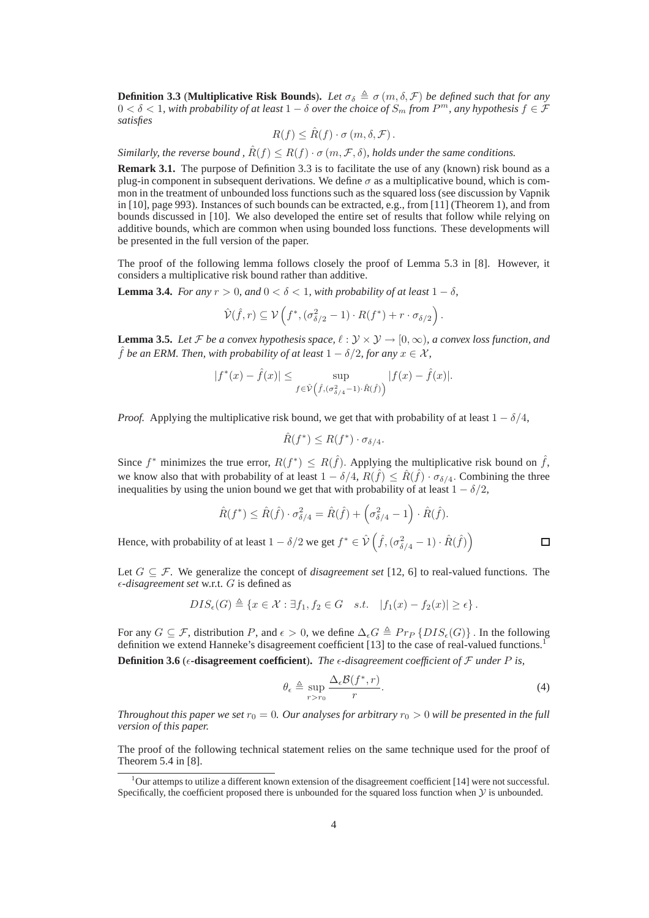**Definition 3.3** (**Multiplicative Risk Bounds**). Let  $\sigma_{\delta} \triangleq \sigma(m, \delta, \mathcal{F})$  be defined such that for any  $0 < δ < 1$ , with probability of at least  $1 − δ$  over the choice of  $S_m$  from  $P^m$ , any hypothesis  $f ∈ F$ *satisfies*

$$
R(f) \leq \hat{R}(f) \cdot \sigma(m, \delta, \mathcal{F}).
$$

*Similarly, the reverse bound,*  $\hat{R}(f) \leq R(f) \cdot \sigma(m, \mathcal{F}, \delta)$ *, holds under the same conditions.* 

**Remark 3.1.** The purpose of Definition 3.3 is to facilitate the use of any (known) risk bound as a plug-in component in subsequent derivations. We define  $\sigma$  as a multiplicative bound, which is common in the treatment of unbounded loss functions such as the squared loss (see discussion by Vapnik in [10], page 993). Instances of such bounds can be extracted, e.g., from [11] (Theorem 1), and from bounds discussed in [10]. We also developed the entire set of results that follow while relying on additive bounds, which are common when using bounded loss functions. These developments will be presented in the full version of the paper.

The proof of the following lemma follows closely the proof of Lemma 5.3 in [8]. However, it considers a multiplicative risk bound rather than additive.

**Lemma 3.4.** *For any*  $r > 0$ *, and*  $0 < \delta < 1$ *, with probability of at least*  $1 - \delta$ *,* 

$$
\hat{\mathcal{V}}(\hat{f},r) \subseteq \mathcal{V}\left(f^*,(\sigma_{\delta/2}^2-1)\cdot R(f^*) + r \cdot \sigma_{\delta/2}\right).
$$

**Lemma 3.5.** Let F be a convex hypothesis space,  $\ell : \mathcal{Y} \times \mathcal{Y} \rightarrow [0, \infty)$ , a convex loss function, and  $\hat{f}$  *be an ERM. Then, with probability of at least*  $1 - \delta/2$ *, for any*  $x \in \mathcal{X}$ *,* 

$$
|f^*(x) - \hat{f}(x)| \le \sup_{f \in \hat{\mathcal{V}}(\hat{f}, (\sigma^2_{\delta/4} - 1) \cdot \hat{R}(\hat{f}))} |f(x) - \hat{f}(x)|.
$$

*Proof.* Applying the multiplicative risk bound, we get that with probability of at least  $1 - \delta/4$ ,

$$
\hat{R}(f^*) \le R(f^*) \cdot \sigma_{\delta/4}.
$$

Since  $f^*$  minimizes the true error,  $R(f^*) \leq R(\hat{f})$ . Applying the multiplicative risk bound on  $\hat{f}$ , we know also that with probability of at least  $1 - \delta/4$ ,  $R(\hat{f}) \leq \hat{R}(\hat{f}) \cdot \sigma_{\delta/4}$ . Combining the three inequalities by using the union bound we get that with probability of at least  $1 - \delta/2$ ,

$$
\hat{R}(f^*) \le \hat{R}(\hat{f}) \cdot \sigma_{\delta/4}^2 = \hat{R}(\hat{f}) + \left(\sigma_{\delta/4}^2 - 1\right) \cdot \hat{R}(\hat{f}).
$$
  
Hence, with probability of at least  $1 - \delta/2$  we get  $f^* \in \hat{\mathcal{V}}\left(\hat{f}, (\sigma_{\delta/4}^2 - 1) \cdot \hat{R}(\hat{f})\right)$ 

Let  $G \subseteq \mathcal{F}$ . We generalize the concept of *disagreement set* [12, 6] to real-valued functions. The  $\epsilon$ -*disagreement set* w.r.t. *G* is defined as

$$
DIS_{\epsilon}(G) \triangleq \{x \in \mathcal{X} : \exists f_1, f_2 \in G \quad s.t. \quad |f_1(x) - f_2(x)| \geq \epsilon\}.
$$

For any  $G \subseteq \mathcal{F}$ , distribution P, and  $\epsilon > 0$ , we define  $\Delta_{\epsilon}G \triangleq Pr_{P} \{DIS_{\epsilon}(G)\}\$ . In the following definition we extend Hanneke's disagreement coefficient [13] to the case of real-valued functions.<sup>1</sup>

**Definition 3.6** ( $\epsilon$ **-disagreement coefficient**). The  $\epsilon$ -disagreement coefficient of  $\mathcal F$  under  $P$  is,

$$
\theta_{\epsilon} \triangleq \sup_{r>r_0} \frac{\Delta_{\epsilon} \mathcal{B}(f^*, r)}{r}.
$$
\n(4)

*Throughout this paper we set*  $r_0 = 0$ *. Our analyses for arbitrary*  $r_0 > 0$  will be presented in the full *version of this paper.*

The proof of the following technical statement relies on the same technique used for the proof of Theorem 5.4 in [8].

<sup>&</sup>lt;sup>1</sup>Our attemps to utilize a different known extension of the disagreement coefficient [14] were not successful. Specifically, the coefficient proposed there is unbounded for the squared loss function when  $\mathcal Y$  is unbounded.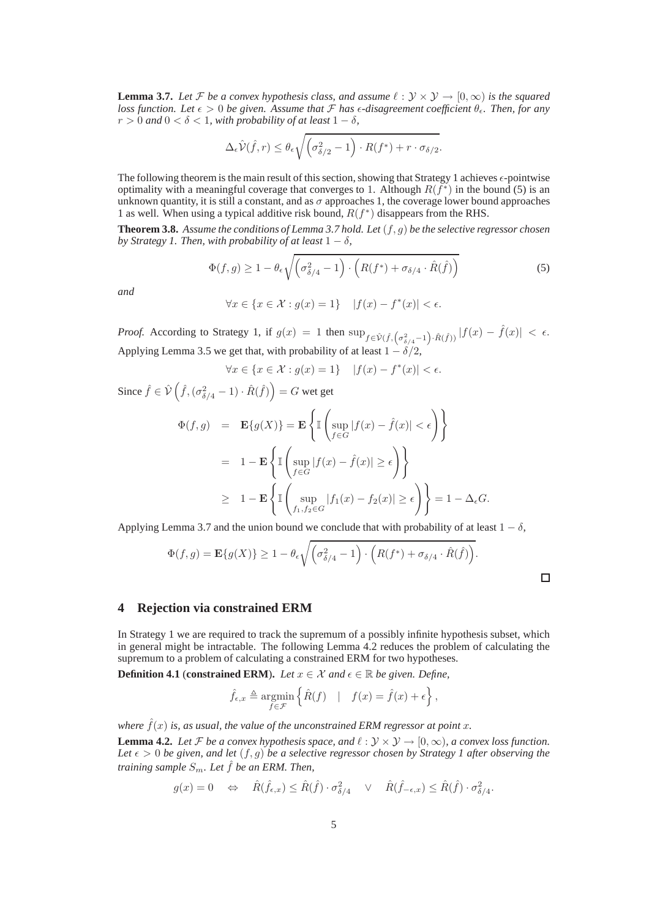**Lemma 3.7.** Let F be a convex hypothesis class, and assume  $\ell : \mathcal{Y} \times \mathcal{Y} \to [0, \infty)$  is the squared *loss function. Let*  $\epsilon > 0$  *be given. Assume that*  $\mathcal F$  *has*  $\epsilon$ *-disagreement coefficient*  $\theta_{\epsilon}$ *. Then, for any*  $r > 0$  and  $0 < \delta < 1$ , with probability of at least  $1 - \delta$ ,

$$
\Delta_{\epsilon}\hat{\mathcal{V}}(\hat{f},r) \leq \theta_{\epsilon}\sqrt{\left(\sigma_{\delta/2}^2 - 1\right) \cdot R(f^*) + r \cdot \sigma_{\delta/2}}.
$$

The following theorem is the main result of this section, showing that Strategy 1 achieves  $\epsilon$ -pointwise optimality with a meaningful coverage that converges to 1. Although  $R(f^*)$  in the bound (5) is an unknown quantity, it is still a constant, and as  $\sigma$  approaches 1, the coverage lower bound approaches 1 as well. When using a typical additive risk bound,  $R(f^*)$  disappears from the RHS.

**Theorem 3.8.** *Assume the conditions of Lemma 3.7 hold. Let* (f, g) *be the selective regressor chosen by Strategy 1. Then, with probability of at least*  $1 - \delta$ *,* 

$$
\Phi(f,g) \ge 1 - \theta_{\epsilon} \sqrt{\left(\sigma_{\delta/4}^2 - 1\right) \cdot \left(R(f^*) + \sigma_{\delta/4} \cdot \hat{R}(\hat{f})\right)}
$$
(5)

*and*

$$
\forall x \in \{x \in \mathcal{X} : g(x) = 1\} \quad |f(x) - f^*(x)| < \epsilon.
$$

*Proof.* According to Strategy 1, if  $g(x) = 1$  then  $\sup_{f \in \hat{\mathcal{V}}(\hat{f}, (\sigma_{\delta/4}^2 - 1) \cdot \hat{R}(\hat{f}))} |f(x) - \hat{f}(x)| < \epsilon$ . Applying Lemma 3.5 we get that, with probability of at least  $1 - \delta/2$ ,

$$
\forall x \in \{x \in \mathcal{X} : g(x) = 1\} \quad |f(x) - f^*(x)| < \epsilon.
$$

Since  $\hat{f} \in \mathcal{\hat{V}}\left(\hat{f},(\sigma^2_{\delta/4}-1)\cdot \hat{R}(\hat{f})\right) = G$  wet get

$$
\Phi(f,g) = \mathbf{E}\{g(X)\} = \mathbf{E}\left\{\mathbb{I}\left(\sup_{f \in G} |f(x) - \hat{f}(x)| < \epsilon\right)\right\}
$$

$$
= 1 - \mathbf{E}\left\{\mathbb{I}\left(\sup_{f \in G} |f(x) - \hat{f}(x)| \ge \epsilon\right)\right\}
$$

$$
\ge 1 - \mathbf{E}\left\{\mathbb{I}\left(\sup_{f_1, f_2 \in G} |f_1(x) - f_2(x)| \ge \epsilon\right)\right\} = 1 - \Delta_{\epsilon}G.
$$

Applying Lemma 3.7 and the union bound we conclude that with probability of at least  $1 - \delta$ ,

$$
\Phi(f,g) = \mathbf{E}\{g(X)\} \ge 1 - \theta_{\epsilon} \sqrt{\left(\sigma_{\delta/4}^2 - 1\right) \cdot \left(R(f^*) + \sigma_{\delta/4} \cdot \hat{R}(\hat{f})\right)}.
$$

 $\Box$ 

#### **4 Rejection via constrained ERM**

In Strategy 1 we are required to track the supremum of a possibly infinite hypothesis subset, which in general might be intractable. The following Lemma 4.2 reduces the problem of calculating the supremum to a problem of calculating a constrained ERM for two hypotheses.

**Definition 4.1** (**constrained ERM**). *Let*  $x \in \mathcal{X}$  and  $\epsilon \in \mathbb{R}$  be given. Define,

$$
\hat{f}_{\epsilon,x} \triangleq \underset{f \in \mathcal{F}}{\text{argmin}} \left\{ \hat{R}(f) \mid f(x) = \hat{f}(x) + \epsilon \right\},\
$$

*where*  $\hat{f}(x)$  *is, as usual, the value of the unconstrained ERM regressor at point* x. **Lemma 4.2.** Let F be a convex hypothesis space, and  $\ell : \mathcal{Y} \times \mathcal{Y} \to [0, \infty)$ , a convex loss function. Let  $\epsilon > 0$  be given, and let  $(f, g)$  be a selective regressor chosen by Strategy 1 after observing the *training sample*  $S_m$ *. Let*  $\hat{f}$  *be an ERM. Then,* 

$$
g(x) = 0 \quad \Leftrightarrow \quad \hat{R}(\hat{f}_{\epsilon,x}) \le \hat{R}(\hat{f}) \cdot \sigma_{\delta/4}^2 \quad \vee \quad \hat{R}(\hat{f}_{-\epsilon,x}) \le \hat{R}(\hat{f}) \cdot \sigma_{\delta/4}^2.
$$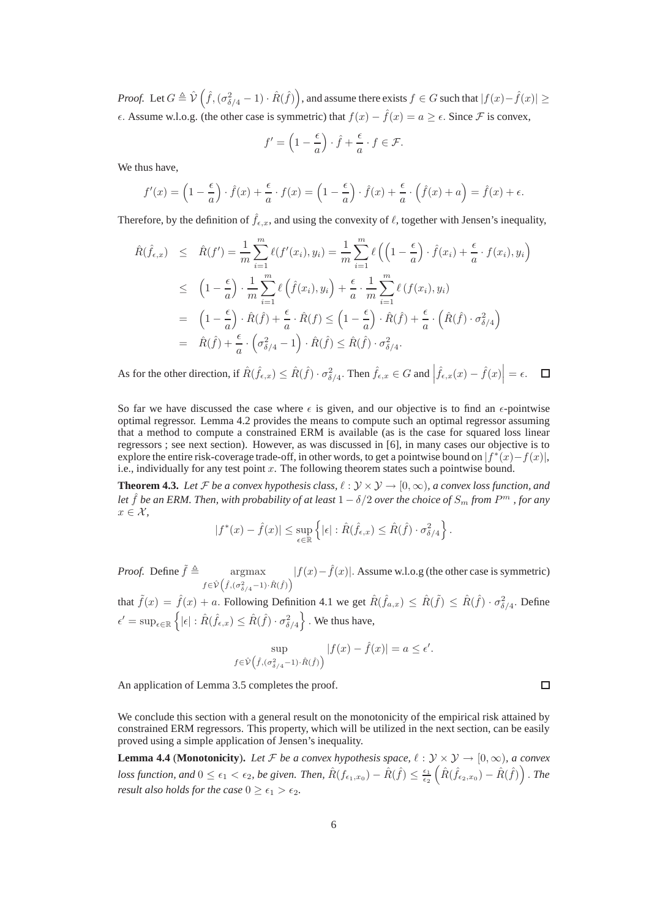*Proof.* Let  $G \triangleq \hat{\mathcal{V}}\left(\hat{f},(\sigma^2_{\delta/4}-1)\cdot \hat{R}(\hat{f})\right)$ , and assume there exists  $f \in G$  such that  $|f(x)-\hat{f}(x)| \ge$  $\epsilon$ . Assume w.l.o.g. (the other case is symmetric) that  $f(x) - \hat{f}(x) = a \geq \epsilon$ . Since F is convex,

$$
f' = \left(1 - \frac{\epsilon}{a}\right) \cdot \hat{f} + \frac{\epsilon}{a} \cdot f \in \mathcal{F}.
$$

We thus have,

$$
f'(x) = \left(1 - \frac{\epsilon}{a}\right) \cdot \hat{f}(x) + \frac{\epsilon}{a} \cdot f(x) = \left(1 - \frac{\epsilon}{a}\right) \cdot \hat{f}(x) + \frac{\epsilon}{a} \cdot \left(\hat{f}(x) + a\right) = \hat{f}(x) + \epsilon.
$$

Therefore, by the definition of  $\hat{f}_{\epsilon,x}$ , and using the convexity of  $\ell$ , together with Jensen's inequality,

$$
\hat{R}(\hat{f}_{\epsilon,x}) \leq \hat{R}(f') = \frac{1}{m} \sum_{i=1}^{m} \ell(f'(x_i), y_i) = \frac{1}{m} \sum_{i=1}^{m} \ell\left(\left(1 - \frac{\epsilon}{a}\right) \cdot \hat{f}(x_i) + \frac{\epsilon}{a} \cdot f(x_i), y_i\right)
$$
\n
$$
\leq \left(1 - \frac{\epsilon}{a}\right) \cdot \frac{1}{m} \sum_{i=1}^{m} \ell\left(\hat{f}(x_i), y_i\right) + \frac{\epsilon}{a} \cdot \frac{1}{m} \sum_{i=1}^{m} \ell\left(f(x_i), y_i\right)
$$
\n
$$
= \left(1 - \frac{\epsilon}{a}\right) \cdot \hat{R}(\hat{f}) + \frac{\epsilon}{a} \cdot \hat{R}(f) \leq \left(1 - \frac{\epsilon}{a}\right) \cdot \hat{R}(\hat{f}) + \frac{\epsilon}{a} \cdot \left(\hat{R}(\hat{f}) \cdot \sigma_{\delta/4}^2\right)
$$
\n
$$
= \hat{R}(\hat{f}) + \frac{\epsilon}{a} \cdot \left(\sigma_{\delta/4}^2 - 1\right) \cdot \hat{R}(\hat{f}) \leq \hat{R}(\hat{f}) \cdot \sigma_{\delta/4}^2.
$$

As for the other direction, if  $\hat{R}(\hat{f}_{\epsilon,x}) \leq \hat{R}(\hat{f}) \cdot \sigma_{\delta/4}^2$ . Then  $\hat{f}_{\epsilon,x} \in G$  and  $\left| \hat{f}_{\epsilon,x}(x) - \hat{f}(x) \right| = \epsilon$ .  $\Box$ 

So far we have discussed the case where  $\epsilon$  is given, and our objective is to find an  $\epsilon$ -pointwise optimal regressor. Lemma 4.2 provides the means to compute such an optimal regressor assuming that a method to compute a constrained ERM is available (as is the case for squared loss linear regressors ; see next section). However, as was discussed in [6], in many cases our objective is to explore the entire risk-coverage trade-off, in other words, to get a pointwise bound on  $|f^*(x) - f(x)|$ , i.e., individually for any test point  $x$ . The following theorem states such a pointwise bound.

**Theorem 4.3.** *Let*  $\mathcal F$  *be a convex hypothesis class,*  $\ell : \mathcal Y \times \mathcal Y \to [0,\infty)$ *, a convex loss function, and let*  $\hat{f}$  *be an ERM. Then, with probability of at least*  $1 - \delta/2$  *over the choice of*  $S_m$  *from*  $P^m$  *, for any*  $x \in \mathcal{X}$ ,

$$
|f^*(x) - \hat{f}(x)| \leq \sup_{\epsilon \in \mathbb{R}} \left\{ |\epsilon| : \hat{R}(\hat{f}_{\epsilon,x}) \leq \hat{R}(\hat{f}) \cdot \sigma_{\delta/4}^2 \right\}.
$$

*Proof.* Define  $\tilde{f} \triangleq \text{argmax}$ argmax  $|f(x) - \hat{f}(x)|$ . Assume w.l.o.g (the other case is symmetric)  $f \in \hat{\mathcal{V}}(\hat{f}, (\sigma^2_{\delta/4}-1) \cdot \hat{R}(\hat{f}))$ 

that  $\tilde{f}(x) = \hat{f}(x) + a$ . Following Definition 4.1 we get  $\hat{R}(\hat{f}_{a,x}) \leq \hat{R}(\tilde{f}) \leq \hat{R}(\hat{f}) \cdot \sigma_{\delta/4}^2$ . Define  $\epsilon' = \sup_{\epsilon \in \mathbb{R}} \left\{ |\epsilon| : \hat{R}(\hat{f}_{\epsilon,x}) \leq \hat{R}(\hat{f}) \cdot \sigma_{\delta/4}^2 \right\}$  . We thus have,

$$
\sup_{f \in \hat{\mathcal{V}}(\hat{f}, (\sigma^2_{\delta/4} - 1) \cdot \hat{R}(\hat{f}))} |f(x) - \hat{f}(x)| = a \le \epsilon'.
$$

An application of Lemma 3.5 completes the proof.

We conclude this section with a general result on the monotonicity of the empirical risk attained by constrained ERM regressors. This property, which will be utilized in the next section, can be easily proved using a simple application of Jensen's inequality.

**Lemma 4.4** (**Monotonicity**). Let F be a convex hypothesis space,  $\ell : \mathcal{Y} \times \mathcal{Y} \rightarrow [0, \infty)$ *, a convex*  $\textit{loss function, and } 0 \leq \epsilon_1 < \epsilon_2 \textit{, be given. Then, } \hat{R}(f_{\epsilon_1,x_0}) - \hat{R}(\hat{f}) \leq \frac{\epsilon_1}{\epsilon_2} \left(\hat{R}(\hat{f}_{\epsilon_2,x_0}) - \hat{R}(\hat{f})\right).$  The *result also holds for the case*  $0 \geq \epsilon_1 > \epsilon_2$ *.* 

 $\Box$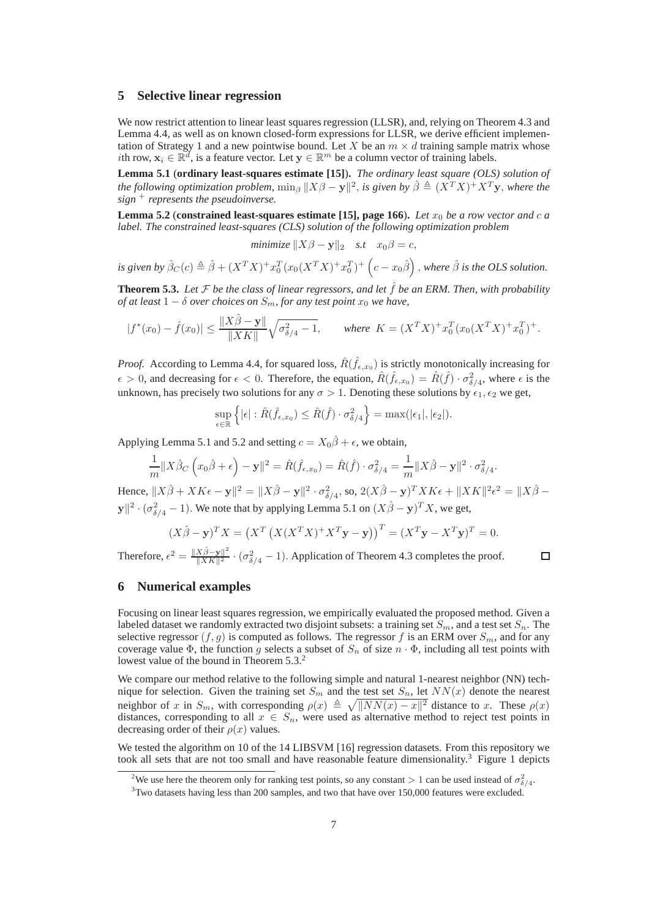# **5 Selective linear regression**

We now restrict attention to linear least squares regression (LLSR), and, relying on Theorem 4.3 and Lemma 4.4, as well as on known closed-form expressions for LLSR, we derive efficient implementation of Strategy 1 and a new pointwise bound. Let X be an  $m \times d$  training sample matrix whose *i*th row,  $x_i \in \mathbb{R}^d$ , is a feature vector. Let  $y \in \mathbb{R}^m$  be a column vector of training labels.

**Lemma 5.1** (**ordinary least-squares estimate [15]**)**.** *The ordinary least square (OLS) solution of the following optimization problem,*  $\min_{\beta} ||X\beta - \mathbf{y}||^2$ , *is given by*  $\hat{\beta} \triangleq (X^T X)^+ X^T \mathbf{y}$ , *where the sign* <sup>+</sup> *represents the pseudoinverse.*

**Lemma 5.2** (**constrained least-squares estimate [15], page 166**). Let  $x_0$  be a row vector and c a *label. The constrained least-squares (CLS) solution of the following optimization problem*

$$
minimize ||X\beta - \mathbf{y}||_2 \quad s.t \quad x_0\beta = c,
$$

*is given by*  $\hat{\beta}_C(c) \triangleq \hat{\beta} + (X^TX)^+ x_0^T (x_0(X^TX)^+ x_0^T)^+ (c - x_0\hat{\beta})$ , where  $\hat{\beta}$  *is the OLS solution.* 

**Theorem 5.3.** Let  $\mathcal F$  be the class of linear regressors, and let  $\hat{f}$  be an ERM. Then, with probability *of at least*  $1 - \delta$  *over choices on*  $S_m$ *, for any test point*  $x_0$  *we have,* 

$$
|f^*(x_0) - \hat{f}(x_0)| \le \frac{\|X\hat{\beta} - \mathbf{y}\|}{\|XK\|} \sqrt{\sigma_{\delta/4}^2 - 1}, \qquad \text{where } K = (X^T X)^+ x_0^T (x_0 (X^T X)^+ x_0^T)^+.
$$

*Proof.* According to Lemma 4.4, for squared loss,  $\hat{R}(\hat{f}_{\epsilon,x_0})$  is strictly monotonically increasing for  $\epsilon > 0$ , and decreasing for  $\epsilon < 0$ . Therefore, the equation,  $\hat{R}(\hat{f}_{\epsilon,x_0}) = \hat{R}(\hat{f}) \cdot \sigma_{\delta/4}^2$ , where  $\epsilon$  is the unknown, has precisely two solutions for any  $\sigma > 1$ . Denoting these solutions by  $\epsilon_1, \epsilon_2$  we get,

$$
\sup_{\epsilon \in \mathbb{R}} \left\{ |\epsilon| : \hat{R}(\hat{f}_{\epsilon,x_0}) \leq \hat{R}(\hat{f}) \cdot \sigma_{\delta/4}^2 \right\} = \max(|\epsilon_1|, |\epsilon_2|).
$$

Applying Lemma 5.1 and 5.2 and setting  $c = X_0 \hat{\beta} + \epsilon$ , we obtain,

$$
\frac{1}{m}||X\hat{\beta}_C (x_0\hat{\beta} + \epsilon) - \mathbf{y}||^2 = \hat{R}(\hat{f}_{\epsilon,x_0}) = \hat{R}(\hat{f}) \cdot \sigma_{\delta/4}^2 = \frac{1}{m}||X\hat{\beta} - \mathbf{y}||^2 \cdot \sigma_{\delta/4}^2.
$$

Hence,  $||X\hat{\beta} + XK\epsilon - \mathbf{y}||^2 = ||X\hat{\beta} - \mathbf{y}||^2 \cdot \sigma_{\delta/4}^2$ , so,  $2(X\hat{\beta} - \mathbf{y})^T XK\epsilon + ||XK||^2 \epsilon^2 = ||X\hat{\beta} - \mathbf{y}||^2$  $||y||^2 \cdot (\sigma_{\delta/4}^2 - 1)$ . We note that by applying Lemma 5.1 on  $(X\hat{\beta} - y)^T X$ , we get,

$$
(X\hat{\beta} - \mathbf{y})^T X = (X^T (X(X^T X)^+ X^T \mathbf{y} - \mathbf{y}))^T = (X^T \mathbf{y} - X^T \mathbf{y})^T = 0.
$$

 $\Box$ 

Therefore,  $\epsilon^2 = \frac{\|X\hat{\beta} - \mathbf{y}\|^2}{\|X\hat{\beta}\|^2} \cdot (\sigma_{\delta/4}^2 - 1)$ . Application of Theorem 4.3 completes the proof.

# **6 Numerical examples**

Focusing on linear least squares regression, we empirically evaluated the proposed method. Given a labeled dataset we randomly extracted two disjoint subsets: a training set  $S_m$ , and a test set  $S_n$ . The selective regressor  $(f, g)$  is computed as follows. The regressor f is an ERM over  $S_m$ , and for any coverage value  $\Phi$ , the function g selects a subset of  $S_n$  of size  $n \cdot \Phi$ , including all test points with lowest value of the bound in Theorem 5.3.<sup>2</sup>

We compare our method relative to the following simple and natural 1-nearest neighbor (NN) technique for selection. Given the training set  $S_m$  and the test set  $S_n$ , let  $NN(x)$  denote the nearest neighbor of x in  $S_m$ , with corresponding  $\rho(x) \triangleq \sqrt{||NN(x) - x||^2}$  distance to x. These  $\rho(x)$ distances, corresponding to all  $x \in S_n$ , were used as alternative method to reject test points in decreasing order of their  $\rho(x)$  values.

We tested the algorithm on 10 of the 14 LIBSVM [16] regression datasets. From this repository we took all sets that are not too small and have reasonable feature dimensionality.<sup>3</sup> Figure 1 depicts

<sup>&</sup>lt;sup>2</sup>We use here the theorem only for ranking test points, so any constant > 1 can be used instead of  $\sigma_{\delta/4}^2$ .

<sup>&</sup>lt;sup>3</sup>Two datasets having less than 200 samples, and two that have over 150,000 features were excluded.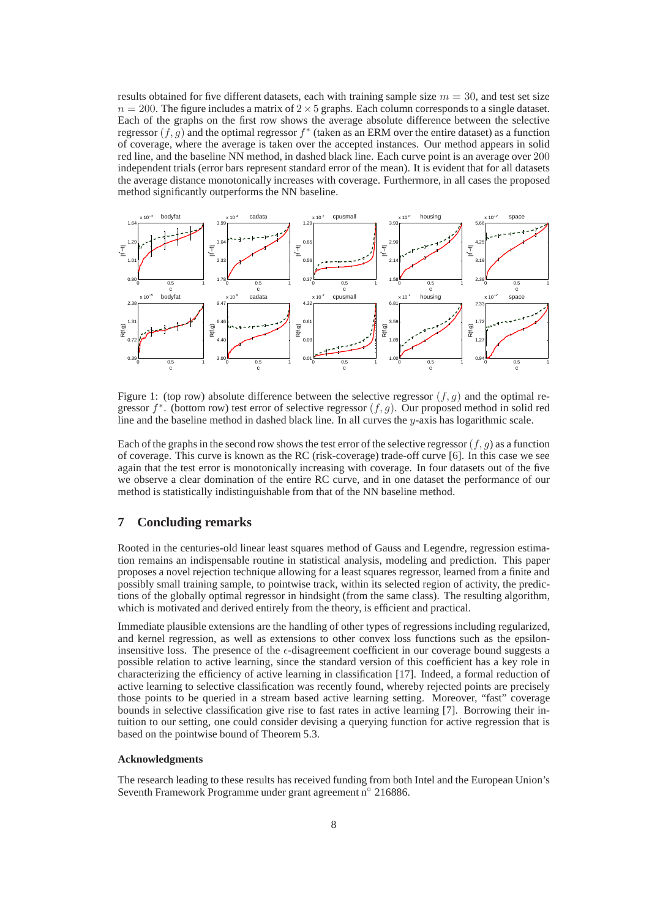results obtained for five different datasets, each with training sample size  $m = 30$ , and test set size  $n = 200$ . The figure includes a matrix of  $2 \times 5$  graphs. Each column corresponds to a single dataset. Each of the graphs on the first row shows the average absolute difference between the selective regressor  $(f, g)$  and the optimal regressor  $f^*$  (taken as an ERM over the entire dataset) as a function of coverage, where the average is taken over the accepted instances. Our method appears in solid red line, and the baseline NN method, in dashed black line. Each curve point is an average over 200 independent trials (error bars represent standard error of the mean). It is evident that for all datasets the average distance monotonically increases with coverage. Furthermore, in all cases the proposed method significantly outperforms the NN baseline.



Figure 1: (top row) absolute difference between the selective regressor  $(f, g)$  and the optimal regressor  $f^*$ . (bottom row) test error of selective regressor  $(f, g)$ . Our proposed method in solid red line and the baseline method in dashed black line. In all curves the y-axis has logarithmic scale.

Each of the graphs in the second row shows the test error of the selective regressor  $(f, g)$  as a function of coverage. This curve is known as the RC (risk-coverage) trade-off curve [6]. In this case we see again that the test error is monotonically increasing with coverage. In four datasets out of the five we observe a clear domination of the entire RC curve, and in one dataset the performance of our method is statistically indistinguishable from that of the NN baseline method.

# **7 Concluding remarks**

Rooted in the centuries-old linear least squares method of Gauss and Legendre, regression estimation remains an indispensable routine in statistical analysis, modeling and prediction. This paper proposes a novel rejection technique allowing for a least squares regressor, learned from a finite and possibly small training sample, to pointwise track, within its selected region of activity, the predictions of the globally optimal regressor in hindsight (from the same class). The resulting algorithm, which is motivated and derived entirely from the theory, is efficient and practical.

Immediate plausible extensions are the handling of other types of regressions including regularized, and kernel regression, as well as extensions to other convex loss functions such as the epsiloninsensitive loss. The presence of the  $\epsilon$ -disagreement coefficient in our coverage bound suggests a possible relation to active learning, since the standard version of this coefficient has a key role in characterizing the efficiency of active learning in classification [17]. Indeed, a formal reduction of active learning to selective classification was recently found, whereby rejected points are precisely those points to be queried in a stream based active learning setting. Moreover, "fast" coverage bounds in selective classification give rise to fast rates in active learning [7]. Borrowing their intuition to our setting, one could consider devising a querying function for active regression that is based on the pointwise bound of Theorem 5.3.

## **Acknowledgments**

The research leading to these results has received funding from both Intel and the European Union's Seventh Framework Programme under grant agreement n◦ 216886.